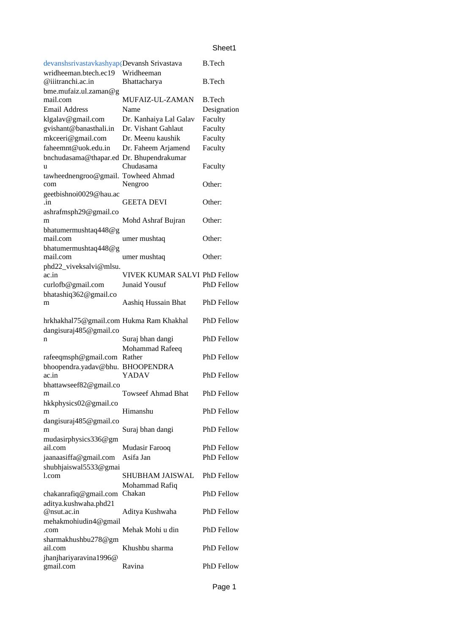## Sheet1

| <b>B.Tech</b><br>devanshsrivastavkashyap(Devansh Srivastava |                              |                   |  |  |
|-------------------------------------------------------------|------------------------------|-------------------|--|--|
| wridheeman.btech.ec19                                       | Wridheeman                   |                   |  |  |
| @iiitranchi.ac.in                                           | Bhattacharya                 | <b>B.Tech</b>     |  |  |
| bme.mufaiz.ul.zaman@g<br>mail.com                           | MUFAIZ-UL-ZAMAN              | <b>B.Tech</b>     |  |  |
| <b>Email Address</b>                                        | Name                         | Designation       |  |  |
| klgalav@gmail.com                                           | Dr. Kanhaiya Lal Galav       | Faculty           |  |  |
| gvishant@banasthali.in                                      | Dr. Vishant Gahlaut          | Faculty           |  |  |
| mkceeri@gmail.com                                           | Dr. Meenu kaushik            | Faculty           |  |  |
| faheemnt@uok.edu.in                                         | Dr. Faheem Arjamend          | Faculty           |  |  |
| bnchudasama@thapar.ed Dr. Bhupendrakumar                    |                              |                   |  |  |
| u                                                           | Chudasama                    | Faculty           |  |  |
| tawheednengroo@gmail. Towheed Ahmad                         |                              |                   |  |  |
| com                                                         | Nengroo                      | Other:            |  |  |
| geetbishnoi0029@hau.ac                                      |                              |                   |  |  |
| .in                                                         | <b>GEETA DEVI</b>            | Other:            |  |  |
| ashrafmsph29@gmail.co                                       |                              |                   |  |  |
| m                                                           | Mohd Ashraf Bujran           | Other:            |  |  |
| bhatumermushtaq448@g<br>mail.com                            |                              | Other:            |  |  |
|                                                             | umer mushtaq                 |                   |  |  |
| bhatumermushtaq448@g<br>mail.com                            | umer mushtaq                 | Other:            |  |  |
| phd22_viveksalvi@mlsu.                                      |                              |                   |  |  |
| ac.in                                                       | VIVEK KUMAR SALVI PhD Fellow |                   |  |  |
| curlofb@gmail.com                                           | Junaid Yousuf                | PhD Fellow        |  |  |
| bhatashiq362@gmail.co                                       |                              |                   |  |  |
| m                                                           | Aashiq Hussain Bhat          | <b>PhD Fellow</b> |  |  |
|                                                             |                              |                   |  |  |
| hrkhakhal75@gmail.com Hukma Ram Khakhal                     |                              | <b>PhD Fellow</b> |  |  |
| dangisuraj485@gmail.co                                      |                              |                   |  |  |
| n                                                           | Suraj bhan dangi             | <b>PhD Fellow</b> |  |  |
|                                                             | Mohammad Rafeeq              |                   |  |  |
| rafeeqmsph@gmail.com                                        | Rather                       | <b>PhD Fellow</b> |  |  |
| bhoopendra.yadav@bhu.                                       | <b>BHOOPENDRA</b><br>YADAV   | <b>PhD Fellow</b> |  |  |
| ac.in                                                       |                              |                   |  |  |
| bhattawseef82@gmail.co<br>m                                 | <b>Towseef Ahmad Bhat</b>    | PhD Fellow        |  |  |
| hkkphysics02@gmail.co                                       |                              |                   |  |  |
| m                                                           | Himanshu                     | <b>PhD Fellow</b> |  |  |
| dangisuraj485@gmail.co                                      |                              |                   |  |  |
| m                                                           | Suraj bhan dangi             | PhD Fellow        |  |  |
| mudasirphysics336@gm                                        |                              |                   |  |  |
| ail.com                                                     | Mudasir Farooq               | PhD Fellow        |  |  |
| jaanaasiffa@gmail.com                                       | Asifa Jan                    | <b>PhD Fellow</b> |  |  |
| shubhjaiswal5533@gmai                                       |                              |                   |  |  |
| l.com                                                       | SHUBHAM JAISWAL              | PhD Fellow        |  |  |
|                                                             | Mohammad Rafiq               |                   |  |  |
| chakanrafiq@gmail.com                                       | Chakan                       | <b>PhD Fellow</b> |  |  |
| aditya.kushwaha.phd21                                       |                              |                   |  |  |
| @nsut.ac.in                                                 | Aditya Kushwaha              | PhD Fellow        |  |  |
| mehakmohiudin4@gmail<br>.com                                | Mehak Mohi u din             | PhD Fellow        |  |  |
| sharmakhushbu278@gm                                         |                              |                   |  |  |
| ail.com                                                     | Khushbu sharma               | PhD Fellow        |  |  |
| jhanjhariyaravina1996@                                      |                              |                   |  |  |
| gmail.com                                                   | Ravina                       | PhD Fellow        |  |  |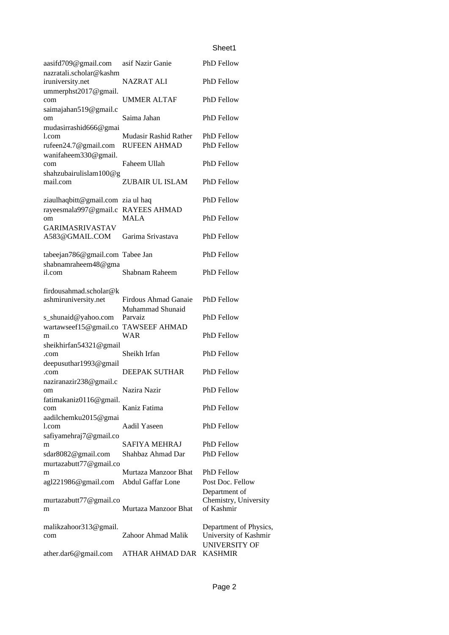## Sheet1

| aasifd709@gmail.com                                        | asif Nazir Ganie                         | PhD Fellow                                                       |
|------------------------------------------------------------|------------------------------------------|------------------------------------------------------------------|
| nazratali.scholar@kashm<br>iruniversity.net                | <b>NAZRAT ALI</b>                        | PhD Fellow                                                       |
| ummerphst2017@gmail.<br>com                                | UMMER ALTAF                              | PhD Fellow                                                       |
| saimajahan519@gmail.c<br>om                                | Saima Jahan                              | <b>PhD</b> Fellow                                                |
| mudasirrashid666@gmai<br>l.com                             | Mudasir Rashid Rather                    | <b>PhD</b> Fellow                                                |
| rufeen24.7@gmail.com<br>wanifaheem330@gmail.               | <b>RUFEEN AHMAD</b>                      | <b>PhD Fellow</b>                                                |
| com<br>shahzubairulislam $100$ @g                          | Faheem Ullah                             | PhD Fellow                                                       |
| mail.com                                                   | ZUBAIR UL ISLAM                          | PhD Fellow                                                       |
| ziaulhaqbitt@gmail.com zia ul haq<br>rayeesmala997@gmail.c | <b>RAYEES AHMAD</b>                      | <b>PhD</b> Fellow                                                |
| om                                                         | <b>MALA</b>                              | <b>PhD</b> Fellow                                                |
| <b>GARIMASRIVASTAV</b><br>A583@GMAIL.COM                   | Garima Srivastava                        | <b>PhD</b> Fellow                                                |
| tabeejan786@gmail.com Tabee Jan                            |                                          | <b>PhD Fellow</b>                                                |
| shabnamraheem48@gma<br>il.com                              | Shabnam Raheem                           | <b>PhD Fellow</b>                                                |
| firdousahmad.scholar@k                                     |                                          |                                                                  |
| ashmiruniversity.net                                       | Firdous Ahmad Ganaie<br>Muhammad Shunaid | <b>PhD Fellow</b>                                                |
| s_shunaid@yahoo.com<br>wartawseef15@gmail.co               | Parvaiz<br><b>TAWSEEF AHMAD</b>          | <b>PhD Fellow</b>                                                |
| m<br>sheikhirfan54321@gmail                                | WAR                                      | <b>PhD</b> Fellow                                                |
| .com                                                       | Sheikh Irfan                             | <b>PhD Fellow</b>                                                |
| deepusuthar1993@gmail<br>.com                              | <b>DEEPAK SUTHAR</b>                     | PhD Fellow                                                       |
| naziranazir238@gmail.c<br>om                               | Nazira Nazir                             | <b>PhD Fellow</b>                                                |
| fatimakaniz0116@gmail.<br>com                              | Kaniz Fatima                             | PhD Fellow                                                       |
| aadilchemku2015@gmai<br>l.com                              | Aadil Yaseen                             | PhD Fellow                                                       |
| safiyamehraj7@gmail.co<br>m                                | <b>SAFIYA MEHRAJ</b>                     | PhD Fellow                                                       |
| sdar8082@gmail.com<br>murtazabutt77@gmail.co               | Shahbaz Ahmad Dar                        | <b>PhD</b> Fellow                                                |
| m                                                          | Murtaza Manzoor Bhat                     | PhD Fellow                                                       |
| agl221986@gmail.com                                        | Abdul Gaffar Lone                        | Post Doc. Fellow<br>Department of                                |
| murtazabutt77@gmail.co<br>m                                | Murtaza Manzoor Bhat                     | Chemistry, University<br>of Kashmir                              |
| malikzahoor313@gmail.<br>com                               | Zahoor Ahmad Malik                       | Department of Physics,<br>University of Kashmir<br>UNIVERSITY OF |
| ather.dar6@gmail.com                                       | ATHAR AHMAD DAR                          | <b>KASHMIR</b>                                                   |